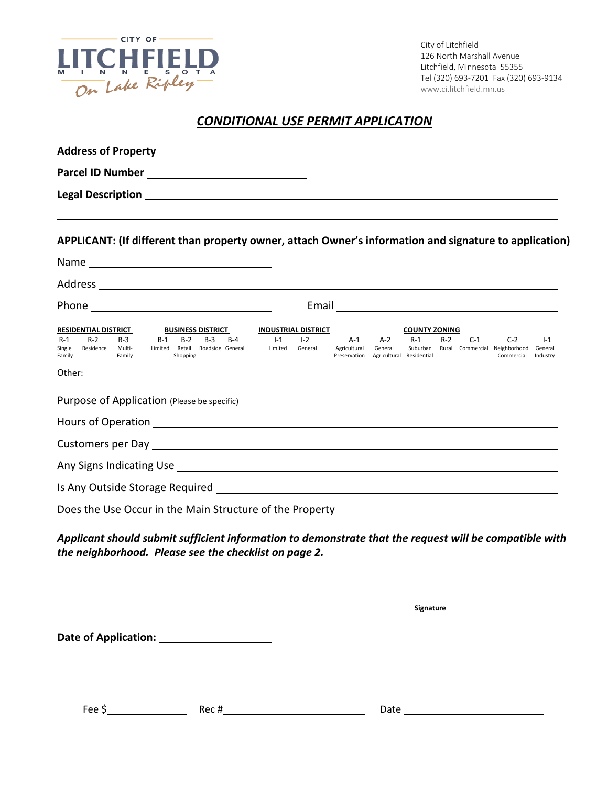

City of Litchfield 126 North Marshall Avenue Litchfield, Minnesota 55355 Tel (320) 693-7201 Fax (320) 693-9134 [www.ci.litchfield.mn.us](http://www.ci.litchfield.mn.us/)

## *CONDITIONAL USE PERMIT APPLICATION*

| APPLICANT: (If different than property owner, attach Owner's information and signature to application)                                                                                                                      |                                           |                                             |                                              |                               |       |       |                                                                                |       |
|-----------------------------------------------------------------------------------------------------------------------------------------------------------------------------------------------------------------------------|-------------------------------------------|---------------------------------------------|----------------------------------------------|-------------------------------|-------|-------|--------------------------------------------------------------------------------|-------|
|                                                                                                                                                                                                                             |                                           |                                             |                                              |                               |       |       |                                                                                |       |
|                                                                                                                                                                                                                             |                                           |                                             |                                              |                               |       |       |                                                                                |       |
|                                                                                                                                                                                                                             |                                           |                                             |                                              |                               |       |       |                                                                                |       |
| <b>RESIDENTIAL DISTRICT</b><br><b>BUSINESS DISTRICT</b><br>$R-2$<br>$B-2$<br>$B-3$<br>$R-1$<br>$R-3$<br>$B-1$<br>Limited Retail Roadside General Limited General<br>Single Residence Multi-<br>Family<br>Family<br>Shopping | <b>INDUSTRIAL DISTRICT</b><br>$B-4$ $I-1$ | $1-2$ $A-1$<br>Agricultural<br>Preservation | $A-2$<br>General<br>Agricultural Residential | <b>COUNTY ZONING</b><br>$R-1$ | $R-2$ | $C-1$ | $C-2$<br>Suburban Rural Commercial Neighborhood General<br>Commercial Industry | $I-1$ |
| Purpose of Application (Please be specific) <b>Example 2018</b> 2019 12:00:00 Purpose of Application (Please be specific)                                                                                                   |                                           |                                             |                                              |                               |       |       |                                                                                |       |
|                                                                                                                                                                                                                             |                                           |                                             |                                              |                               |       |       |                                                                                |       |
|                                                                                                                                                                                                                             |                                           |                                             |                                              |                               |       |       |                                                                                |       |
|                                                                                                                                                                                                                             |                                           |                                             |                                              |                               |       |       |                                                                                |       |
|                                                                                                                                                                                                                             |                                           |                                             |                                              |                               |       |       |                                                                                |       |
| Does the Use Occur in the Main Structure of the Property ________________________                                                                                                                                           |                                           |                                             |                                              |                               |       |       |                                                                                |       |
| Applicant should submit sufficient information to demonstrate that the request will be compatible with<br>the neighborhood. Please see the checklist on page 2.                                                             |                                           |                                             |                                              |                               |       |       |                                                                                |       |

**Signature Signature Signature** 

**Date of Application:** 

Fee \$ Date Rec # Rec # Date Date Date